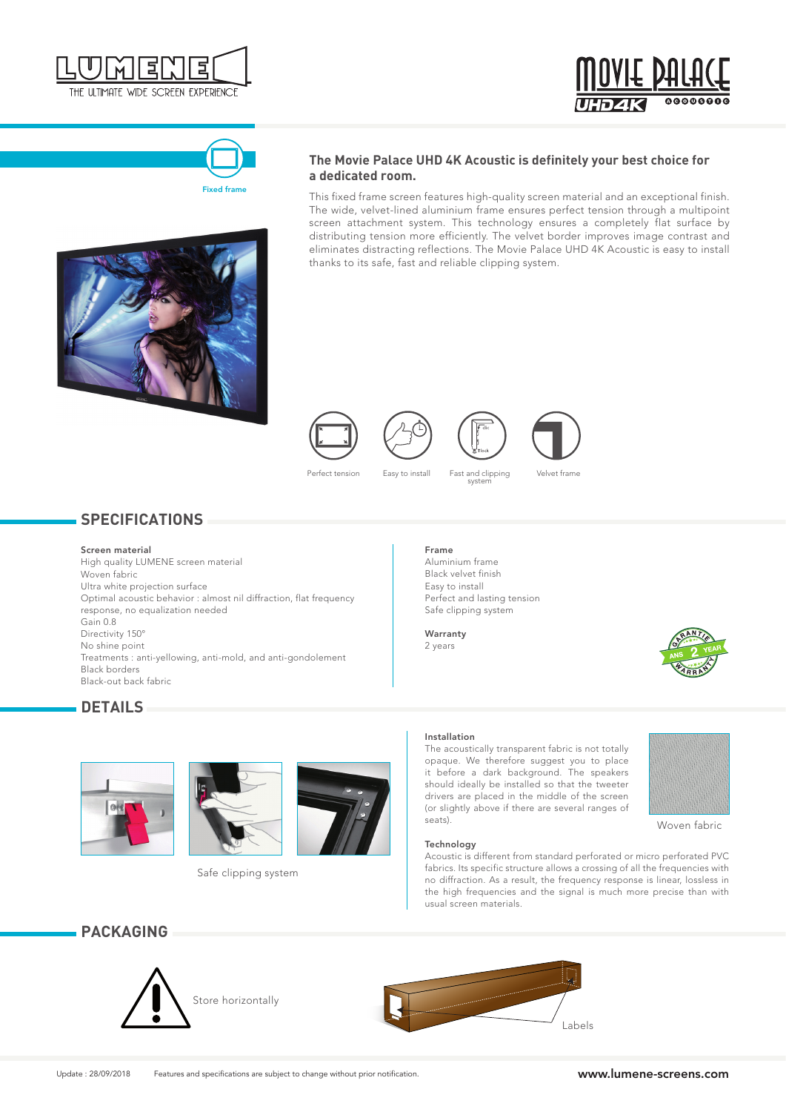





## **The Movie Palace UHD 4K Acoustic is definitely your best choice for a dedicated room.**

This fixed frame screen features high-quality screen material and an exceptional finish. The wide, velvet-lined aluminium frame ensures perfect tension through a multipoint screen attachment system. This technology ensures a completely flat surface by distributing tension more efficiently. The velvet border improves image contrast and eliminates distracting reflections. The Movie Palace UHD 4K Acoustic is easy to install thanks to its safe, fast and reliable clipping system.











Perfect tension Easy to install Fast and clipping system

Velvet frame

# **SPECIFICATIONS**

### Screen material

High quality LUMENE screen material Woven fabric Ultra white projection surface Optimal acoustic behavior : almost nil diffraction, flat frequency response, no equalization needed Gain 0.8 Directivity 150° No shine point Treatments : anti-yellowing, anti-mold, and anti-gondolement Black borders Black-out back fabric

## Frame

Aluminium frame Black velvet finish Easy to install Perfect and lasting tension Safe clipping system

Warranty 2 years



# **DETAILS**





Safe clipping system

#### Installation

The acoustically transparent fabric is not totally opaque. We therefore suggest you to place it before a dark background. The speakers should ideally be installed so that the tweeter drivers are placed in the middle of the screen (or slightly above if there are several ranges of seats).



Woven fabric

### Technology

Acoustic is different from standard perforated or micro perforated PVC fabrics. Its specific structure allows a crossing of all the frequencies with no diffraction. As a result, the frequency response is linear, lossless in the high frequencies and the signal is much more precise than with usual screen materials.